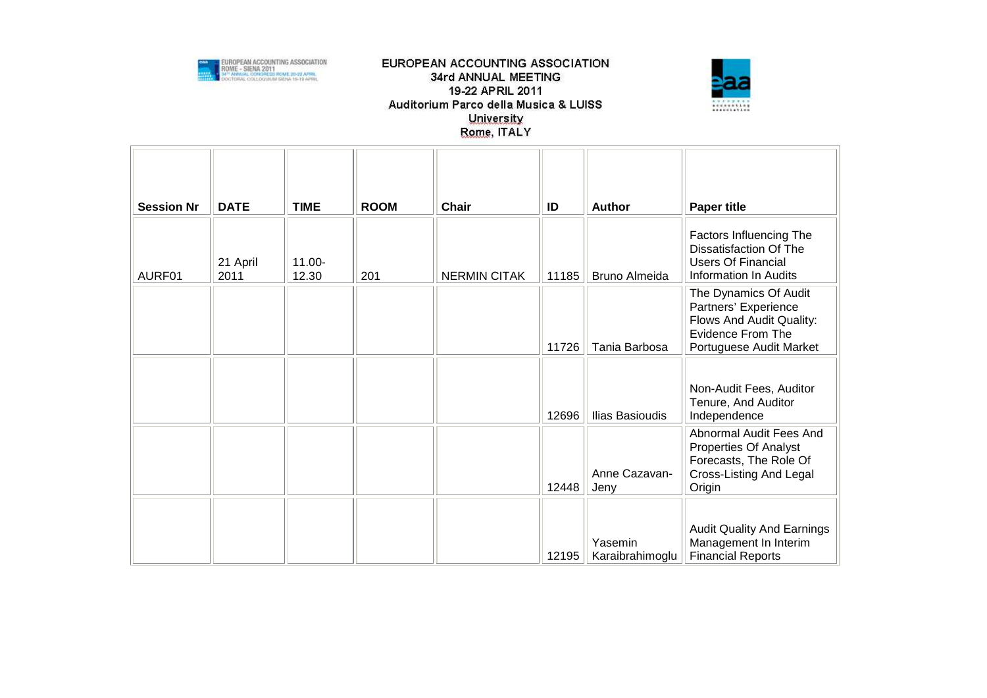



| <b>Session Nr</b> | <b>DATE</b>      | <b>TIME</b>        | <b>ROOM</b> | <b>Chair</b>        | ID    | <b>Author</b>              | <b>Paper title</b>                                                                                                               |
|-------------------|------------------|--------------------|-------------|---------------------|-------|----------------------------|----------------------------------------------------------------------------------------------------------------------------------|
| AURF01            | 21 April<br>2011 | $11.00 -$<br>12.30 | 201         | <b>NERMIN CITAK</b> | 11185 | <b>Bruno Almeida</b>       | Factors Influencing The<br><b>Dissatisfaction Of The</b><br><b>Users Of Financial</b><br>Information In Audits                   |
|                   |                  |                    |             |                     | 11726 | Tania Barbosa              | The Dynamics Of Audit<br>Partners' Experience<br>Flows And Audit Quality:<br><b>Evidence From The</b><br>Portuguese Audit Market |
|                   |                  |                    |             |                     | 12696 | Ilias Basioudis            | Non-Audit Fees, Auditor<br>Tenure, And Auditor<br>Independence                                                                   |
|                   |                  |                    |             |                     | 12448 | Anne Cazavan-<br>Jeny      | Abnormal Audit Fees And<br><b>Properties Of Analyst</b><br>Forecasts, The Role Of<br>Cross-Listing And Legal<br>Origin           |
|                   |                  |                    |             |                     | 12195 | Yasemin<br>Karaibrahimoglu | <b>Audit Quality And Earnings</b><br>Management In Interim<br><b>Financial Reports</b>                                           |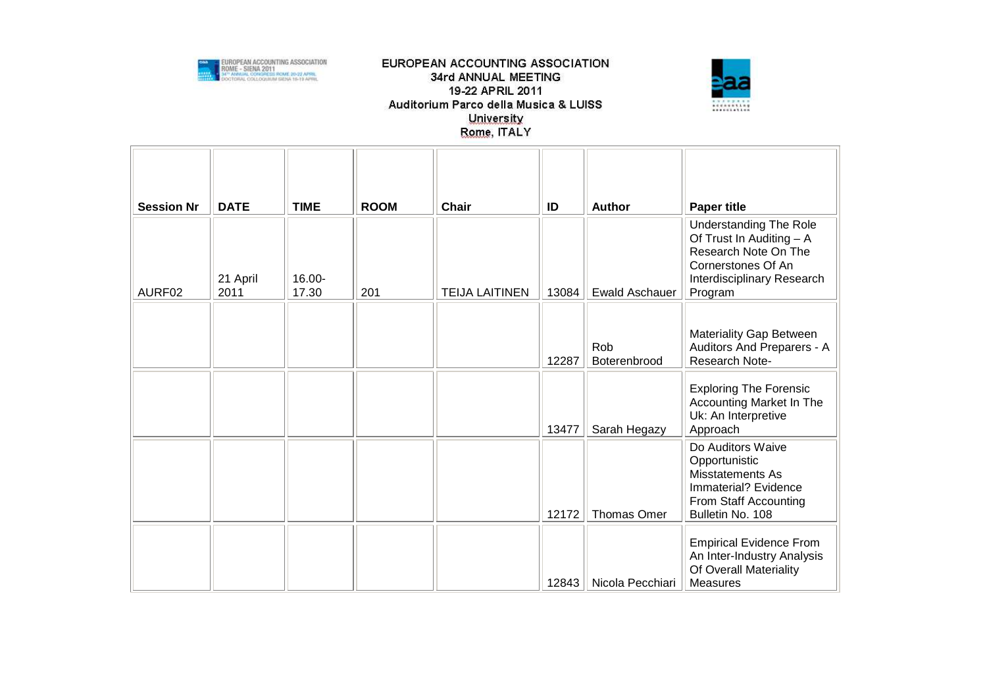



| <b>Session Nr</b> | <b>DATE</b>      | <b>TIME</b>     | <b>ROOM</b> | <b>Chair</b>          | ID    | <b>Author</b>         | <b>Paper title</b>                                                                                                                               |
|-------------------|------------------|-----------------|-------------|-----------------------|-------|-----------------------|--------------------------------------------------------------------------------------------------------------------------------------------------|
| AURF02            | 21 April<br>2011 | 16.00-<br>17.30 | 201         | <b>TEIJA LAITINEN</b> | 13084 | <b>Ewald Aschauer</b> | <b>Understanding The Role</b><br>Of Trust In Auditing - A<br>Research Note On The<br>Cornerstones Of An<br>Interdisciplinary Research<br>Program |
|                   |                  |                 |             |                       | 12287 | Rob<br>Boterenbrood   | <b>Materiality Gap Between</b><br>Auditors And Preparers - A<br>Research Note-                                                                   |
|                   |                  |                 |             |                       | 13477 | Sarah Hegazy          | <b>Exploring The Forensic</b><br><b>Accounting Market In The</b><br>Uk: An Interpretive<br>Approach                                              |
|                   |                  |                 |             |                       | 12172 | Thomas Omer           | Do Auditors Waive<br>Opportunistic<br>Misstatements As<br>Immaterial? Evidence<br>From Staff Accounting<br>Bulletin No. 108                      |
|                   |                  |                 |             |                       | 12843 | Nicola Pecchiari      | <b>Empirical Evidence From</b><br>An Inter-Industry Analysis<br>Of Overall Materiality<br><b>Measures</b>                                        |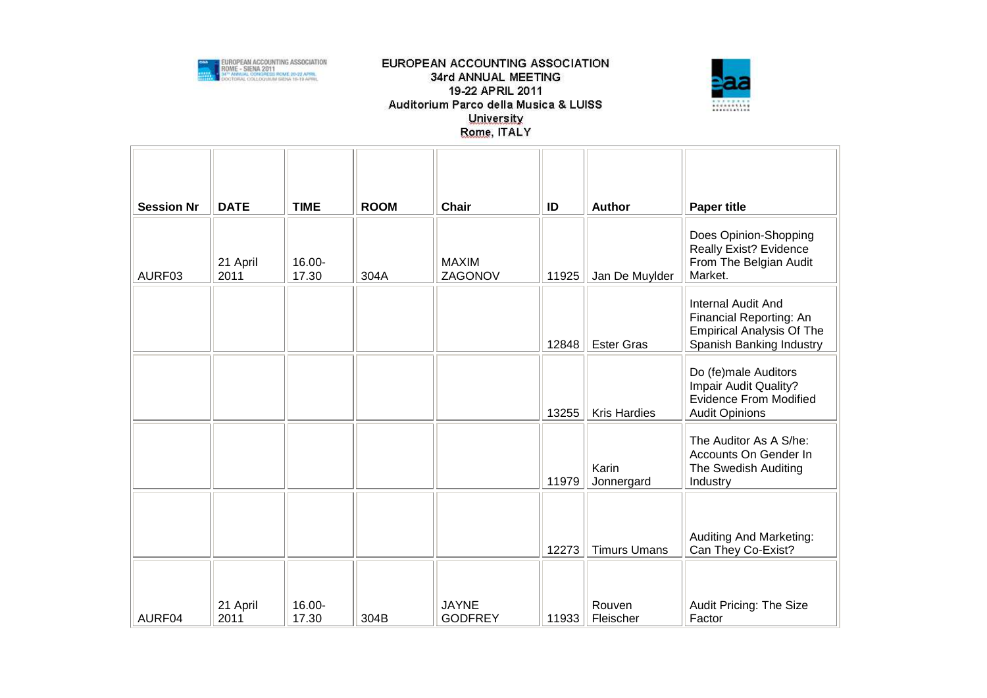



| <b>Session Nr</b> | <b>DATE</b>      | <b>TIME</b>     | <b>ROOM</b> | <b>Chair</b>                   | ID    | <b>Author</b>       | <b>Paper title</b>                                                                                                   |
|-------------------|------------------|-----------------|-------------|--------------------------------|-------|---------------------|----------------------------------------------------------------------------------------------------------------------|
| AURF03            | 21 April<br>2011 | 16.00-<br>17.30 | 304A        | <b>MAXIM</b><br>ZAGONOV        | 11925 | Jan De Muylder      | Does Opinion-Shopping<br>Really Exist? Evidence<br>From The Belgian Audit<br>Market.                                 |
|                   |                  |                 |             |                                | 12848 | <b>Ester Gras</b>   | <b>Internal Audit And</b><br>Financial Reporting: An<br><b>Empirical Analysis Of The</b><br>Spanish Banking Industry |
|                   |                  |                 |             |                                | 13255 | <b>Kris Hardies</b> | Do (fe)male Auditors<br>Impair Audit Quality?<br><b>Evidence From Modified</b><br><b>Audit Opinions</b>              |
|                   |                  |                 |             |                                | 11979 | Karin<br>Jonnergard | The Auditor As A S/he:<br>Accounts On Gender In<br>The Swedish Auditing<br>Industry                                  |
|                   |                  |                 |             |                                | 12273 | <b>Timurs Umans</b> | Auditing And Marketing:<br>Can They Co-Exist?                                                                        |
| AURF04            | 21 April<br>2011 | 16.00-<br>17.30 | 304B        | <b>JAYNE</b><br><b>GODFREY</b> | 11933 | Rouven<br>Fleischer | Audit Pricing: The Size<br>Factor                                                                                    |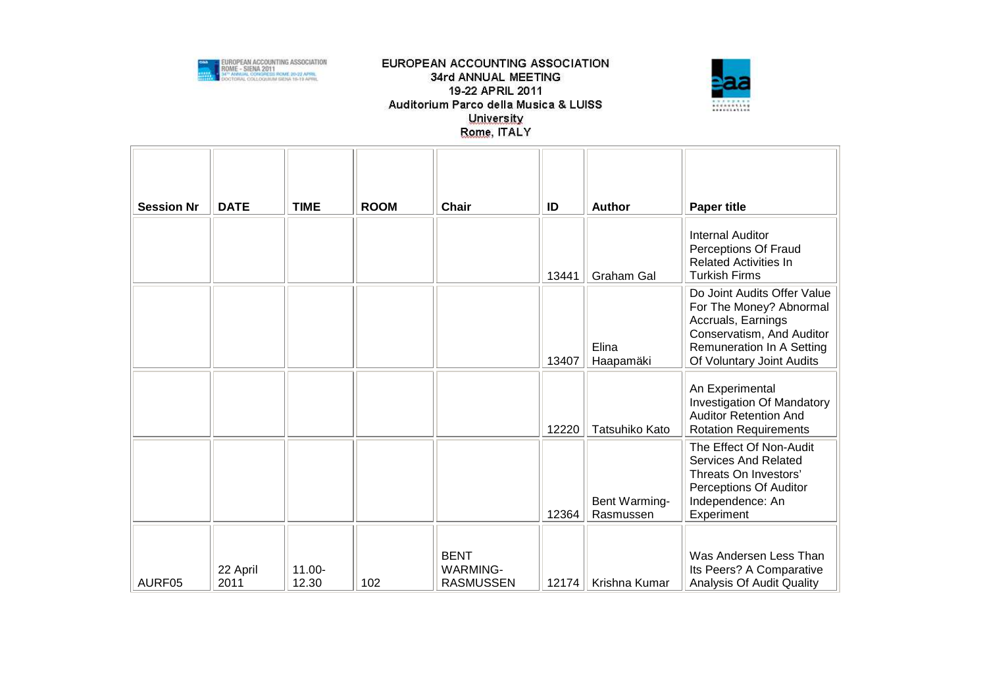



| <b>Session Nr</b> | <b>DATE</b>      | <b>TIME</b>        | <b>ROOM</b> | Chair                                              | ID    | Author                     | <b>Paper title</b>                                                                                                                                                  |
|-------------------|------------------|--------------------|-------------|----------------------------------------------------|-------|----------------------------|---------------------------------------------------------------------------------------------------------------------------------------------------------------------|
|                   |                  |                    |             |                                                    | 13441 | Graham Gal                 | <b>Internal Auditor</b><br>Perceptions Of Fraud<br><b>Related Activities In</b><br><b>Turkish Firms</b>                                                             |
|                   |                  |                    |             |                                                    | 13407 | Elina<br>Haapamäki         | Do Joint Audits Offer Value<br>For The Money? Abnormal<br>Accruals, Earnings<br>Conservatism, And Auditor<br>Remuneration In A Setting<br>Of Voluntary Joint Audits |
|                   |                  |                    |             |                                                    | 12220 | Tatsuhiko Kato             | An Experimental<br><b>Investigation Of Mandatory</b><br><b>Auditor Retention And</b><br><b>Rotation Requirements</b>                                                |
|                   |                  |                    |             |                                                    | 12364 | Bent Warming-<br>Rasmussen | The Effect Of Non-Audit<br><b>Services And Related</b><br>Threats On Investors'<br>Perceptions Of Auditor<br>Independence: An<br>Experiment                         |
| AURF05            | 22 April<br>2011 | $11.00 -$<br>12.30 | 102         | <b>BENT</b><br><b>WARMING-</b><br><b>RASMUSSEN</b> | 12174 | Krishna Kumar              | Was Andersen Less Than<br>Its Peers? A Comparative<br>Analysis Of Audit Quality                                                                                     |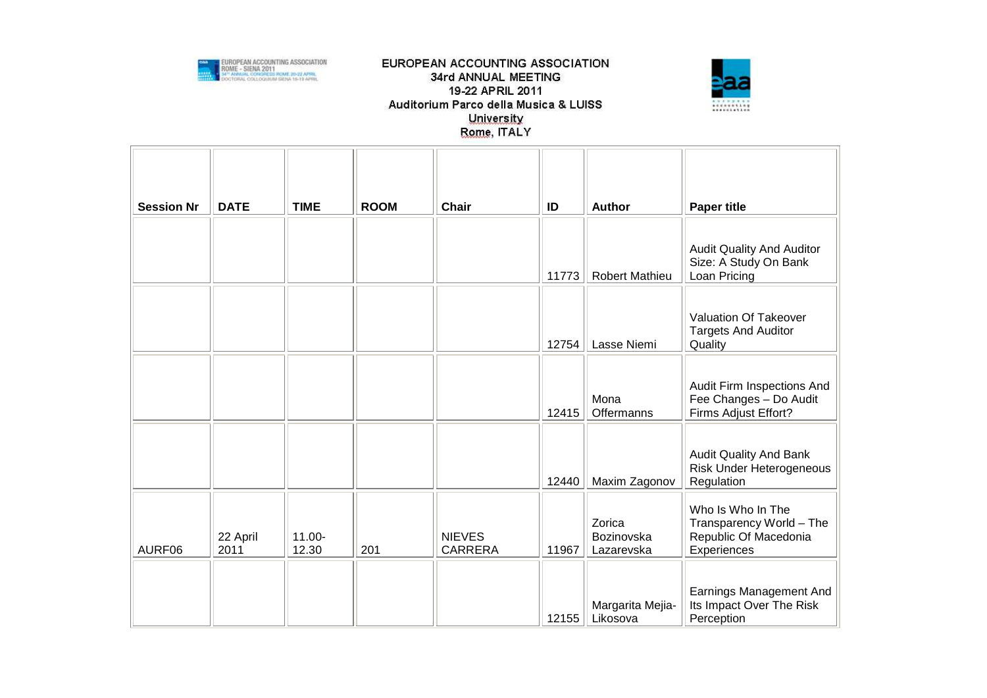



| <b>Session Nr</b> | <b>DATE</b>      | <b>TIME</b>        | <b>ROOM</b> | Chair                           | ID    | Author                             | <b>Paper title</b>                                                                    |
|-------------------|------------------|--------------------|-------------|---------------------------------|-------|------------------------------------|---------------------------------------------------------------------------------------|
|                   |                  |                    |             |                                 | 11773 | <b>Robert Mathieu</b>              | <b>Audit Quality And Auditor</b><br>Size: A Study On Bank<br>Loan Pricing             |
|                   |                  |                    |             |                                 | 12754 | Lasse Niemi                        | Valuation Of Takeover<br><b>Targets And Auditor</b><br>Quality                        |
|                   |                  |                    |             |                                 | 12415 | Mona<br>Offermanns                 | Audit Firm Inspections And<br>Fee Changes - Do Audit<br>Firms Adjust Effort?          |
|                   |                  |                    |             |                                 | 12440 | Maxim Zagonov                      | <b>Audit Quality And Bank</b><br>Risk Under Heterogeneous<br>Regulation               |
| AURF06            | 22 April<br>2011 | $11.00 -$<br>12.30 | 201         | <b>NIEVES</b><br><b>CARRERA</b> | 11967 | Zorica<br>Bozinovska<br>Lazarevska | Who Is Who In The<br>Transparency World - The<br>Republic Of Macedonia<br>Experiences |
|                   |                  |                    |             |                                 | 12155 | Margarita Mejia-<br>Likosova       | Earnings Management And<br>Its Impact Over The Risk<br>Perception                     |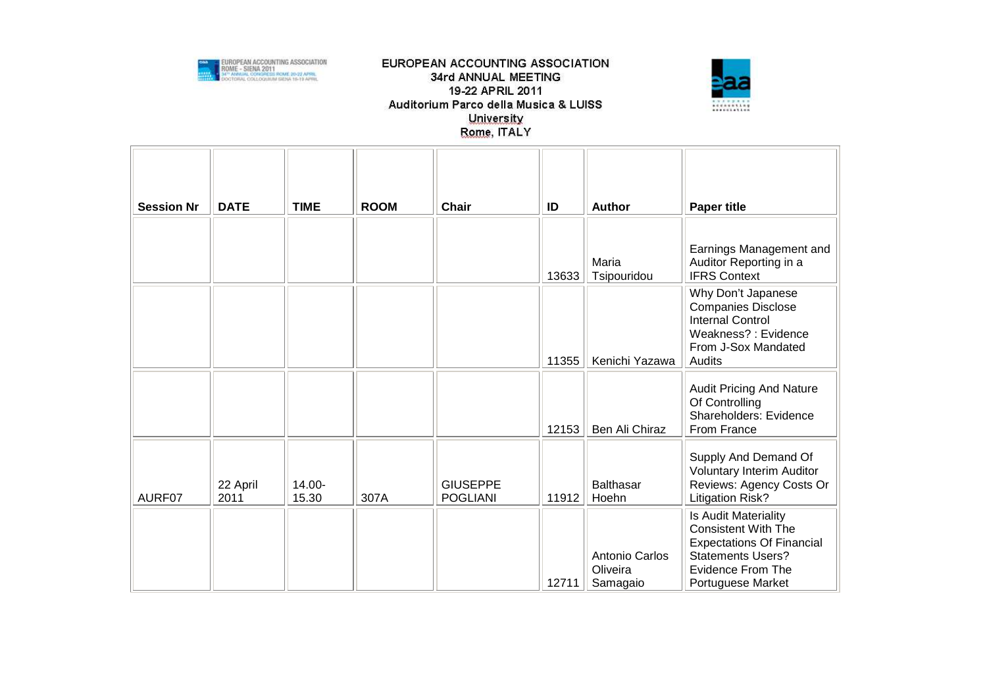



| <b>Session Nr</b> | <b>DATE</b>      | <b>TIME</b>     | <b>ROOM</b> | <b>Chair</b>                       | ID    | Author                                 | <b>Paper title</b>                                                                                                                                                  |
|-------------------|------------------|-----------------|-------------|------------------------------------|-------|----------------------------------------|---------------------------------------------------------------------------------------------------------------------------------------------------------------------|
|                   |                  |                 |             |                                    | 13633 | Maria<br>Tsipouridou                   | Earnings Management and<br>Auditor Reporting in a<br><b>IFRS Context</b>                                                                                            |
|                   |                  |                 |             |                                    | 11355 | Kenichi Yazawa                         | Why Don't Japanese<br><b>Companies Disclose</b><br><b>Internal Control</b><br>Weakness? : Evidence<br>From J-Sox Mandated<br>Audits                                 |
|                   |                  |                 |             |                                    | 12153 | Ben Ali Chiraz                         | <b>Audit Pricing And Nature</b><br>Of Controlling<br>Shareholders: Evidence<br>From France                                                                          |
| AURF07            | 22 April<br>2011 | 14.00-<br>15.30 | 307A        | <b>GIUSEPPE</b><br><b>POGLIANI</b> | 11912 | <b>Balthasar</b><br>Hoehn              | Supply And Demand Of<br><b>Voluntary Interim Auditor</b><br>Reviews: Agency Costs Or<br><b>Litigation Risk?</b>                                                     |
|                   |                  |                 |             |                                    | 12711 | Antonio Carlos<br>Oliveira<br>Samagaio | Is Audit Materiality<br><b>Consistent With The</b><br><b>Expectations Of Financial</b><br><b>Statements Users?</b><br><b>Evidence From The</b><br>Portuguese Market |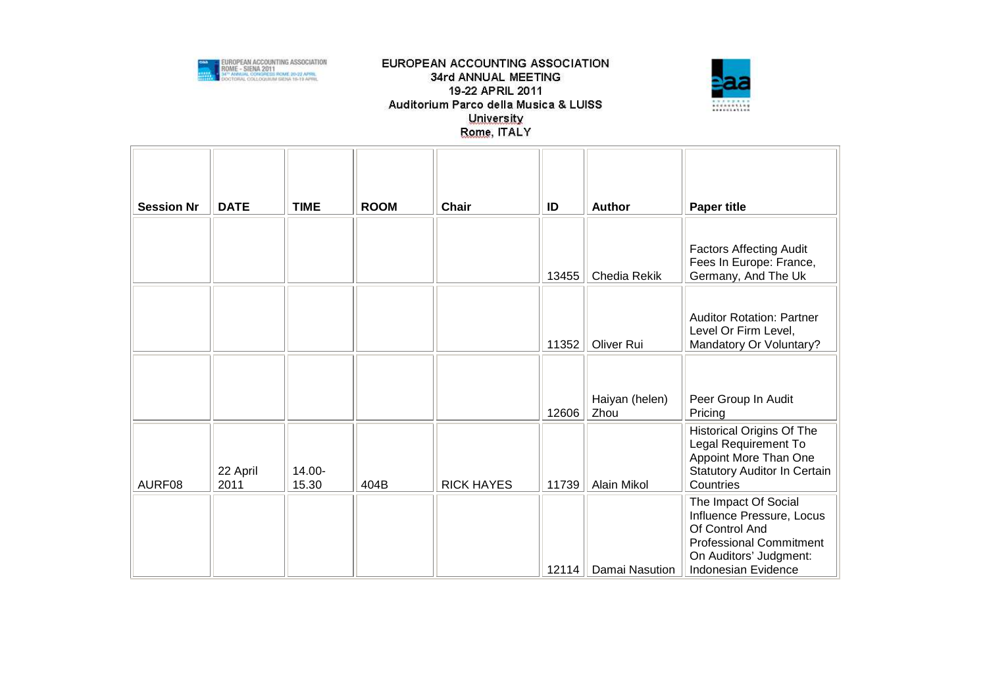



| <b>Session Nr</b> | <b>DATE</b>      | <b>TIME</b>     | <b>ROOM</b> | <b>Chair</b>      | ID    | <b>Author</b>          | <b>Paper title</b>                                                                                                                                     |
|-------------------|------------------|-----------------|-------------|-------------------|-------|------------------------|--------------------------------------------------------------------------------------------------------------------------------------------------------|
|                   |                  |                 |             |                   |       |                        |                                                                                                                                                        |
|                   |                  |                 |             |                   | 13455 | Chedia Rekik           | <b>Factors Affecting Audit</b><br>Fees In Europe: France,<br>Germany, And The Uk                                                                       |
|                   |                  |                 |             |                   | 11352 | Oliver Rui             | <b>Auditor Rotation: Partner</b><br>Level Or Firm Level,<br>Mandatory Or Voluntary?                                                                    |
|                   |                  |                 |             |                   |       |                        |                                                                                                                                                        |
|                   |                  |                 |             |                   |       |                        |                                                                                                                                                        |
|                   |                  |                 |             |                   | 12606 | Haiyan (helen)<br>Zhou | Peer Group In Audit<br>Pricing                                                                                                                         |
| AURF08            | 22 April<br>2011 | 14.00-<br>15.30 | 404B        | <b>RICK HAYES</b> | 11739 | Alain Mikol            | <b>Historical Origins Of The</b><br>Legal Requirement To<br>Appoint More Than One<br><b>Statutory Auditor In Certain</b><br>Countries                  |
|                   |                  |                 |             |                   |       | 12114   Damai Nasution | The Impact Of Social<br>Influence Pressure, Locus<br>Of Control And<br><b>Professional Commitment</b><br>On Auditors' Judgment:<br>Indonesian Evidence |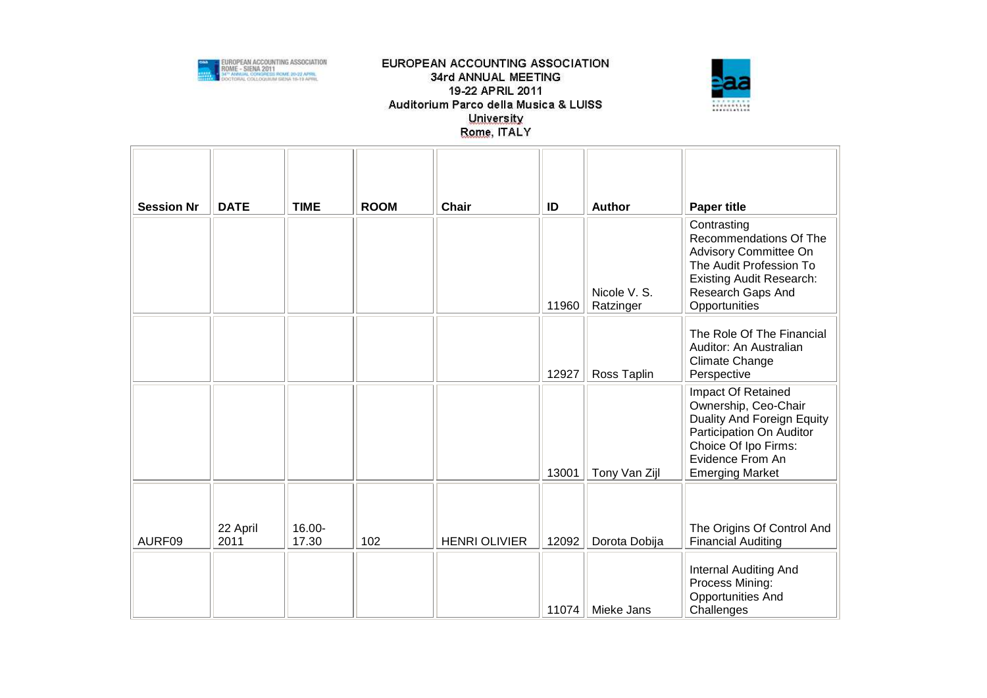



| <b>Session Nr</b> | <b>DATE</b> | <b>TIME</b> | <b>ROOM</b> | <b>Chair</b>         | ID    | <b>Author</b>             | <b>Paper title</b>                                                                                                                                                         |
|-------------------|-------------|-------------|-------------|----------------------|-------|---------------------------|----------------------------------------------------------------------------------------------------------------------------------------------------------------------------|
|                   |             |             |             |                      | 11960 | Nicole V. S.<br>Ratzinger | Contrasting<br>Recommendations Of The<br>Advisory Committee On<br>The Audit Profession To<br><b>Existing Audit Research:</b><br>Research Gaps And<br>Opportunities         |
|                   |             |             |             |                      | 12927 | Ross Taplin               | The Role Of The Financial<br>Auditor: An Australian<br><b>Climate Change</b><br>Perspective                                                                                |
|                   |             |             |             |                      | 13001 | Tony Van Zijl             | Impact Of Retained<br>Ownership, Ceo-Chair<br>Duality And Foreign Equity<br>Participation On Auditor<br>Choice Of Ipo Firms:<br>Evidence From An<br><b>Emerging Market</b> |
|                   | 22 April    | 16.00-      |             |                      |       |                           | The Origins Of Control And                                                                                                                                                 |
| AURF09            | 2011        | 17.30       | 102         | <b>HENRI OLIVIER</b> | 12092 | Dorota Dobija             | <b>Financial Auditing</b>                                                                                                                                                  |
|                   |             |             |             |                      | 11074 | Mieke Jans                | Internal Auditing And<br>Process Mining:<br><b>Opportunities And</b><br>Challenges                                                                                         |